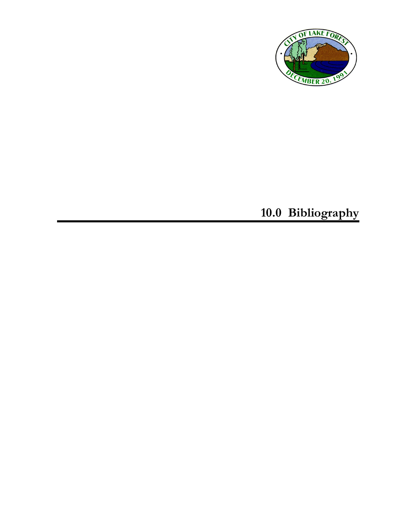

**10.0 Bibliography**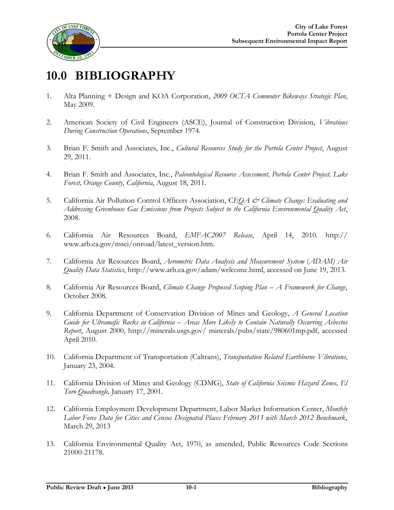

## **10.0 BIBLIOGRAPHY**

- 1. Alta Planning + Design and KOA Corporation, *2009 OCTA Commuter Bikeways Strategic Plan*, May 2009.
- 2. American Society of Civil Engineers (ASCE), Journal of Construction Division, *Vibrations During Construction Operations*, September 1974.
- 3. Brian F. Smith and Associates, Inc., *Cultural Resources Study for the Portola Center Project*, August 29, 2011.
- 4. Brian F. Smith and Associates, Inc., *Paleontological Resource Assessment, Portola Center Project, Lake Forest, Orange County, California*, August 18, 2011.
- 5. California Air Pollution Control Officers Association, C*EQA & Climate Change: Evaluating and Addressing Greenhouse Gas Emissions from Projects Subject to the California Environmental Quality Act*, 2008.
- 6. California Air Resources Board, *EMFAC2007 Release*, April 14, 2010. http:// [www.arb.ca.gov/msei/onroad/latest\\_version.htm](www.arb.ca.gov/msei/onroad/latest_version.htm).
- 7. California Air Resources Board, *Aerometric Data Analysis and Measurement System* (*ADAM) Air Quality Data Statistics*, [http://www.arb.ca.gov/adam/welcome.html,](http://www.arb.ca.gov/adam/welcome.html) accessed on June 19, 2013.
- 8. California Air Resources Board, *Climate Change Proposed Scoping Plan – A Framework for Change*, October 2008.
- 9. California Department of Conservation Division of Mines and Geology, *A General Location Guide for Ultramafic Rocks in California – Areas More Likely to Contain Naturally Occurring Asbestos Report*, August 2000, <http://minerals.usgs.gov/>minerals/pubs/state/980601mp.pdf, accessed April 2010.
- 10. California Department of Transportation (Caltrans), *Transportation Related Earthborne Vibrations*, January 23, 2004.
- 11. California Division of Mines and Geology (CDMG), *State of California Seismic Hazard Zones, El Toro Quadrangle,* January 17, 2001.
- 12. California Employment Development Department, Labor Market Information Center, *Monthly Labor Force Data for Cities and Census Designated Places February 2013 with March 2012 Benchmark*, March 29, 2013
- 13. California Environmental Quality Act, 1970, as amended, Public Resources Code Sections 21000-21178.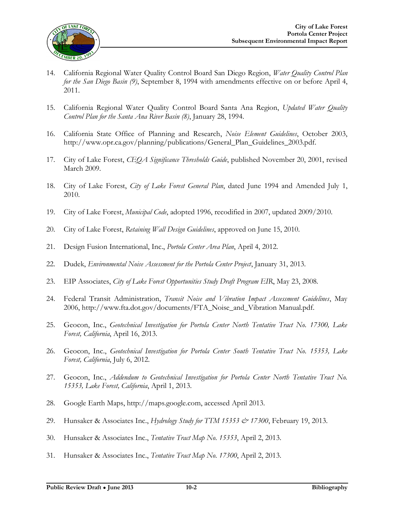

- 14. California Regional Water Quality Control Board San Diego Region, *Water Quality Control Plan for the San Diego Basin (9)*, September 8, 1994 with amendments effective on or before April 4, 2011.
- 15. California Regional Water Quality Control Board Santa Ana Region, *Updated Water Quality Control Plan for the Santa Ana River Basin (8)*, January 28, 1994.
- 16. California State Office of Planning and Research, *Noise Element Guidelines*, October 2003, [http://www.opr.ca.gov/planning/publications/General\\_Plan\\_Guidelines\\_2003.pdf](http://www.opr.ca.gov/planning/publications/General_Plan_Guidelines_2003.pdf).
- 17. City of Lake Forest, *CEQA Significance Thresholds Guide*, published November 20, 2001, revised March 2009.
- 18. City of Lake Forest, *City of Lake Forest General Plan*, dated June 1994 and Amended July 1, 2010.
- 19. City of Lake Forest, *Municipal Code*, adopted 1996, recodified in 2007, updated 2009/2010.
- 20. City of Lake Forest, *Retaining Wall Design Guidelines*, approved on June 15, 2010.
- 21. Design Fusion International, Inc., *Portola Center Area Plan*, April 4, 2012.
- 22. Dudek, *Environmental Noise Assessment for the Portola Center Project*, January 31, 2013.
- 23. EIP Associates, *City of Lake Forest Opportunities Study Draft Program EIR*, May 23, 2008.
- 24. Federal Transit Administration, *Transit Noise and Vibration Impact Assessment Guidelines*, May 2006, [http://www.fta.dot.gov/documents/FTA\\_Noise\\_and\\_Vibration](http://www.fta.dot.gov/documents/FTA_Noise_and_Vibration) Manual.pdf.
- 25. Geocon, Inc., *Geotechnical Investigation for Portola Center North Tentative Tract No. 17300, Lake Forest, California*, April 16, 2013.
- 26. Geocon, Inc., *Geotechnical Investigation for Portola Center South Tentative Tract No. 15353, Lake Forest, California*, July 6, 2012.
- 27. Geocon, Inc., *Addendum to Geotechnical Investigation for Portola Center North Tentative Tract No. 15353, Lake Forest, California*, April 1, 2013.
- 28. Google Earth Maps,<http://maps.google.com>, accessed April 2013.
- 29. Hunsaker & Associates Inc., *Hydrology Study for TTM 15353 & 17300*, February 19, 2013.
- 30. Hunsaker & Associates Inc., *Tentative Tract Map No. 15353*, April 2, 2013.
- 31. Hunsaker & Associates Inc., *Tentative Tract Map No. 17300*, April 2, 2013.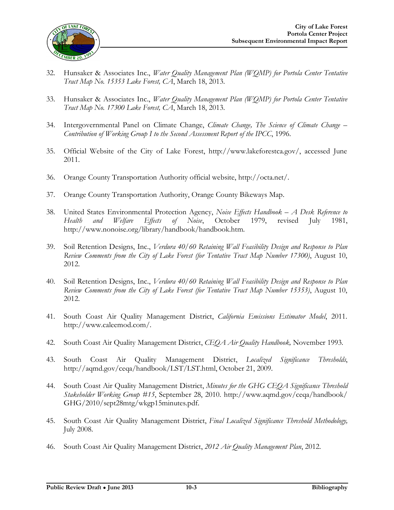

- 32. Hunsaker & Associates Inc., *Water Quality Management Plan (WQMP) for Portola Center Tentative Tract Map No. 15353 Lake Forest, CA*, March 18, 2013.
- 33. Hunsaker & Associates Inc., *Water Quality Management Plan (WQMP) for Portola Center Tentative Tract Map No. 17300 Lake Forest, CA*, March 18, 2013.
- 34. Intergovernmental Panel on Climate Change, *Climate Change, The Science of Climate Change – Contribution of Working Group I to the Second Assessment Report of the IPCC*, 1996.
- 35. Official Website of the City of Lake Forest, [http://www.lakeforestca.gov/,](http://www.lakeforestca.gov/) accessed June 2011.
- 36. Orange County Transportation Authority official website, [http://octa.net/.](http://octa.net/)
- 37. Orange County Transportation Authority, Orange County Bikeways Map.
- 38. United States Environmental Protection Agency, *Noise Effects Handbook – A Desk Reference to Health and Welfare Effects of Noise*, October 1979, revised July 1981, [http://www.nonoise.org/library/handbook/handbook.htm.](http://www.nonoise.org/library/handbook/handbook.htm)
- 39. Soil Retention Designs, Inc., *Verdura 40/60 Retaining Wall Feasibility Design and Response to Plan Review Comments from the City of Lake Forest (for Tentative Tract Map Number 17300)*, August 10, 2012.
- 40. Soil Retention Designs, Inc., *Verdura 40/60 Retaining Wall Feasibility Design and Response to Plan Review Comments from the City of Lake Forest (for Tentative Tract Map Number 15353)*, August 10, 2012.
- 41. South Coast Air Quality Management District, *California Emissions Estimator Model*, 2011. [http://www.caleemod.com/.](http://www.caleemod.com/)
- 42. South Coast Air Quality Management District, *CEQA Air Quality Handbook,* November 1993.
- 43. South Coast Air Quality Management District, *Localized Significance Thresholds*, <http://aqmd.gov/ceqa/handbook/LST/LST.html>, October 21, 2009.
- 44. South Coast Air Quality Management District, *Minutes for the GHG CEQA Significance Threshold Stakeholder Working Group #15*, September 28, 2010. <http://www.aqmd.gov/ceqa/handbook/> GHG/2010/sept28mtg/wkgp15minutes.pdf.
- 45. South Coast Air Quality Management District, *Final Localized Significance Threshold Methodology,* July 2008.
- 46. South Coast Air Quality Management District, *2012 Air Quality Management Plan*, 2012.